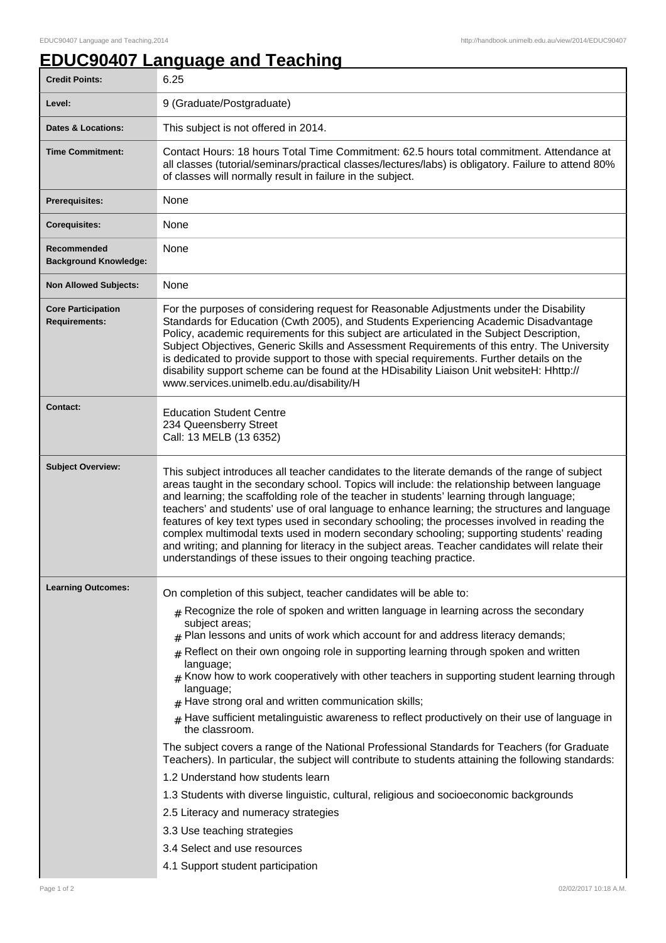## **EDUC90407 Language and Teaching**

| <b>Credit Points:</b>                             | 6.25                                                                                                                                                                                                                                                                                                                                                                                                                                                                                                                                                                                                                                                                                                                                                                                                                                                                                                                                                                                                                                                                                                                                                    |
|---------------------------------------------------|---------------------------------------------------------------------------------------------------------------------------------------------------------------------------------------------------------------------------------------------------------------------------------------------------------------------------------------------------------------------------------------------------------------------------------------------------------------------------------------------------------------------------------------------------------------------------------------------------------------------------------------------------------------------------------------------------------------------------------------------------------------------------------------------------------------------------------------------------------------------------------------------------------------------------------------------------------------------------------------------------------------------------------------------------------------------------------------------------------------------------------------------------------|
| Level:                                            | 9 (Graduate/Postgraduate)                                                                                                                                                                                                                                                                                                                                                                                                                                                                                                                                                                                                                                                                                                                                                                                                                                                                                                                                                                                                                                                                                                                               |
| <b>Dates &amp; Locations:</b>                     | This subject is not offered in 2014.                                                                                                                                                                                                                                                                                                                                                                                                                                                                                                                                                                                                                                                                                                                                                                                                                                                                                                                                                                                                                                                                                                                    |
| <b>Time Commitment:</b>                           | Contact Hours: 18 hours Total Time Commitment: 62.5 hours total commitment. Attendance at<br>all classes (tutorial/seminars/practical classes/lectures/labs) is obligatory. Failure to attend 80%<br>of classes will normally result in failure in the subject.                                                                                                                                                                                                                                                                                                                                                                                                                                                                                                                                                                                                                                                                                                                                                                                                                                                                                         |
| <b>Prerequisites:</b>                             | None                                                                                                                                                                                                                                                                                                                                                                                                                                                                                                                                                                                                                                                                                                                                                                                                                                                                                                                                                                                                                                                                                                                                                    |
| <b>Corequisites:</b>                              | None                                                                                                                                                                                                                                                                                                                                                                                                                                                                                                                                                                                                                                                                                                                                                                                                                                                                                                                                                                                                                                                                                                                                                    |
| Recommended<br><b>Background Knowledge:</b>       | None                                                                                                                                                                                                                                                                                                                                                                                                                                                                                                                                                                                                                                                                                                                                                                                                                                                                                                                                                                                                                                                                                                                                                    |
| <b>Non Allowed Subjects:</b>                      | None                                                                                                                                                                                                                                                                                                                                                                                                                                                                                                                                                                                                                                                                                                                                                                                                                                                                                                                                                                                                                                                                                                                                                    |
| <b>Core Participation</b><br><b>Requirements:</b> | For the purposes of considering request for Reasonable Adjustments under the Disability<br>Standards for Education (Cwth 2005), and Students Experiencing Academic Disadvantage<br>Policy, academic requirements for this subject are articulated in the Subject Description,<br>Subject Objectives, Generic Skills and Assessment Requirements of this entry. The University<br>is dedicated to provide support to those with special requirements. Further details on the<br>disability support scheme can be found at the HDisability Liaison Unit websiteH: Hhttp://<br>www.services.unimelb.edu.au/disability/H                                                                                                                                                                                                                                                                                                                                                                                                                                                                                                                                    |
| <b>Contact:</b>                                   | <b>Education Student Centre</b><br>234 Queensberry Street<br>Call: 13 MELB (13 6352)                                                                                                                                                                                                                                                                                                                                                                                                                                                                                                                                                                                                                                                                                                                                                                                                                                                                                                                                                                                                                                                                    |
| <b>Subject Overview:</b>                          | This subject introduces all teacher candidates to the literate demands of the range of subject<br>areas taught in the secondary school. Topics will include: the relationship between language<br>and learning; the scaffolding role of the teacher in students' learning through language;<br>teachers' and students' use of oral language to enhance learning; the structures and language<br>features of key text types used in secondary schooling; the processes involved in reading the<br>complex multimodal texts used in modern secondary schooling; supporting students' reading<br>and writing; and planning for literacy in the subject areas. Teacher candidates will relate their<br>understandings of these issues to their ongoing teaching practice.                                                                                                                                                                                                                                                                                                                                                                                   |
| <b>Learning Outcomes:</b>                         | On completion of this subject, teacher candidates will be able to:<br>$#$ Recognize the role of spoken and written language in learning across the secondary<br>subject areas;<br>Plan lessons and units of work which account for and address literacy demands;<br>Reflect on their own ongoing role in supporting learning through spoken and written<br>#<br>language;<br>$#$ Know how to work cooperatively with other teachers in supporting student learning through<br>language;<br>$#$ Have strong oral and written communication skills;<br>Have sufficient metalinguistic awareness to reflect productively on their use of language in<br>the classroom.<br>The subject covers a range of the National Professional Standards for Teachers (for Graduate<br>Teachers). In particular, the subject will contribute to students attaining the following standards:<br>1.2 Understand how students learn<br>1.3 Students with diverse linguistic, cultural, religious and socioeconomic backgrounds<br>2.5 Literacy and numeracy strategies<br>3.3 Use teaching strategies<br>3.4 Select and use resources<br>4.1 Support student participation |